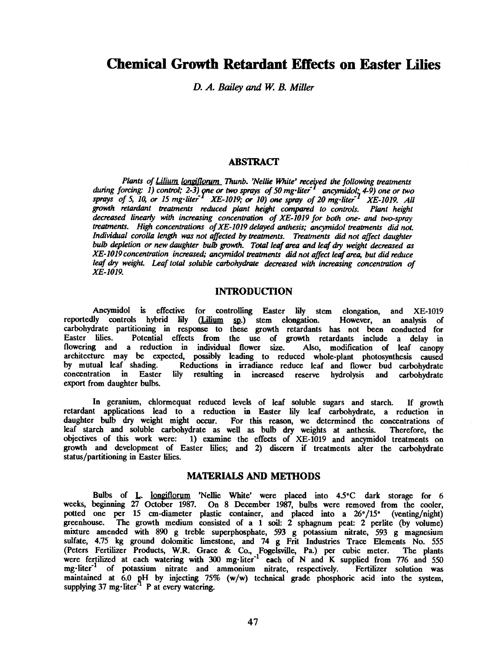# Chemical Growth Retardant Effects on Easter Lilies

D. A. Bailey and W. B. Miller

## **ABSTRACT**

Plants of Lilium longiflorum Thunb. 'Nellie White' received the following treatments during forcing: 1) control; 2-3) one or two sprays of 50 mg liter<sup> $1$ </sup> ancymidol; 4-9) one or two sprays of 5, 10, or 15 mg -liter<sup>-1</sup> XE-1019; or 10) one spray of 20 mg -liter<sup>-1</sup> XE-1019. All growth retardant treatments reduced plant height compared to controls. Plant height decreased linearly with increasing concentration of XE-1019 for both one- and two-spray treatments. High concentrations of XE -1019 delayed anthesis; ancymidol treatments did not. Individual corolla length was not affected by treatments. Treatments did not affect daughter bulb depletion or new daughter bulb growth. Total leaf area and leaf dry weight decreased as XE -1019 concentration increased; ancymidol treatments did not affect leaf area, but did reduce leaf dry weight. Leaf total soluble carbohydrate decreased with increasing concentration of XE -1019.

### INTRODUCTION

Ancymidol is effective for controlling Easter lily stem elongation, and XE-1019<br>Ily controls hybrid lily (Lilium sp.) stem elongation. However, an analysis of reportedly controls hybrid lily (Lilium sp.) stem elongation. However, an analysis of carbohydrate partitioning in response to these growth retardants has not been conducted for<br>Easter lilies. Potential effects from the use of growth retardants include a delay in Potential effects from the use of growth retardants include a delay in<br>a reduction in individual flower size. Also, modification of leaf canopy flowering and a reduction in individual flower size. architecture may be expected, possibly leading to reduced whole -plant photosynthesis caused Reductions in irradiance reduce leaf and flower bud carbohydrate<br>y resulting in increased reserve hydrolysis and carbohydrate concentration in Easter lily resulting in increased export from daughter bulbs.

In geranium, chlormequat reduced levels of leaf soluble sugars and starch. If growth retardant applications lead to a reduction in Easter lily leaf carbohydrate, a reduction in daughter bulb dry weight might occur. For this reason, we determined the concentrations of leaf starch and soluble carbohydrate as well as bulb dry weights at anthesis. Therefore, the leaf starch and soluble carbohydrate as well as bulb dry weights at anthesis. objectives of this work were: 1) examine the effects of XE -1019 and ancymidol treatments on growth and development of Easter lilies; and 2) discern if treatments alter the carbohydrate status/partitioning in Easter lilies.

### MATERIALS AND METHODS

Bulbs of L. longiflorum 'Nellie White' were placed into 4.5°C dark storage for 6 weeks, beginning 27 October 1987. On 8 December 1987, bulbs were removed from the cooler, potted one per 15 cm-diameter plastic container, and placed into a 26°/15° (venting/night) greenhouse. The growth medium consisted of a 1 soil: 2 sphagnum peat: 2 perlite (by volume) mixture amended with 890 g treble superphosphate, 593 g potassium nitrate, 593 g magnesium sulfate, 4.75 kg ground dolomitic limestone, and 74 g Frit Industries Trace Elements No. 555 (Peters Fertilizer Products, W.R. Grace & Co., Fogelsville, Pa.) per cubic meter. The plants were fertilized at each watering with 300 mg-liter<sup>-1</sup> each of N and K supplied from 776 and 550 were fertilized at each watering with 300 mg-liter-300 mg-liter-1 of potassium nitrate and ammonium nitrate, respectively. Fertilizer solution was maintained at  $6.0$  pH by injecting  $75\%$  (w/w) technical grade phosphoric acid into the system, supplying  $37 \text{ mg} \cdot \text{liter}^{-1}$  P at every watering.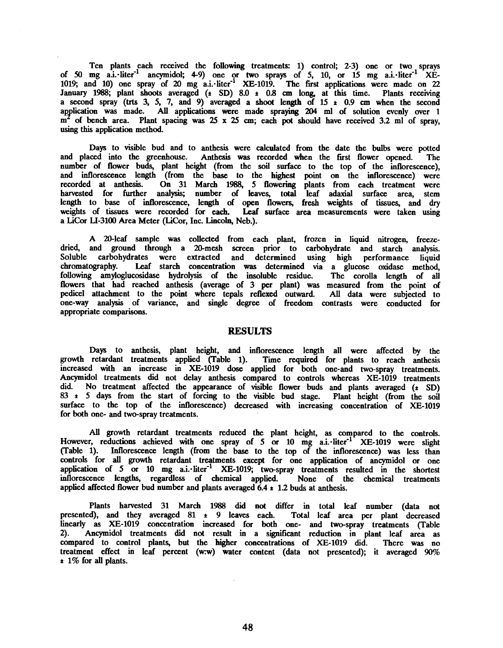Ten plants each received the following treatments: 1) control; 2-3) one or two sprays of 50 mg a.i.-liter<sup>-1</sup> ancymidol; 4-9) one or two sprays of 5, 10, or 15 mg a.i.-liter<sup>-1</sup> XE-1019; and 10) one spray of 20 mg a.i. $\cdot$ liter<sup>-1</sup> XE-1019. The first applications were made on 22 January  $1988$ ; plant shoots averaged  $(\pm$  SD)  $8.0 \pm 0.8$  cm long, at this time. Plants receiving a second spray (trts 3, 5, 7, and 9) averaged a shoot length of  $15 \pm 0.9$  cm when the second application was made. All applications were made spraying 204 ml of solution evenly over 1  $m^2$  of bench area. Plant spacing was 25 x 25 cm; each pot should have received 3.2 ml of spray, using this application method.

Days to visible bud and to anthesis were calculated from the date the bulbs were potted and placed into the greenhouse. Athesis was recorded when the first flower opened. The number of flower buds, plant height (from the soil surface to the top of the inflorescence), and inflorescence length (from the base to the highest point on the inflorescence) were recorded at anthesis. On 31 March 1988, 5 flowering plants from each treatment were harvested for further analysis; number of leaves, total leaf adaxial surface area, stem length to base of inflorescence, length of open flowers, fresh weights of tissues, and dry weights of tissues were recorded for each. Leaf surface area measurements were taken using a LiCor LI -3100 Area Meter (LiCor, Inc. Lincoln, Neb.).

A 20-leaf sample was collected from each plant, frozen in liquid nitrogen, freezedried, and ground through a 20-mesh screen prior to carbohydrate and starch analysis. Soluble carbohydrates were extracted and determined using high performance liquid chromatography. Leaf starch concentration was determined via a glucose oxidase method. Leaf starch concentration was determined via a glucose oxidase method, following amyloglucosidase hydrolysis of the insoluble residue. The corolla length of all flowers that had reached anthesis (average of 3 per plant) was measured from the point of pedicel attachment to the point where tepals reflexed outward. All data were subjected to one -way analysis of variance, and single degree of freedom contrasts were conducted for appropriate comparisons.

#### RESULTS

Days to anthesis, plant height, and inflorescence length all were affected by the growth retardant treatments applied (Table 1). Time required for plants to reach anthesis increased with an increase in XE -1019 dose applied for both one -and two -spray treatments. Ancymidol treatments did not delay anthesis compared to controls whereas  $XE$ -1019 treatments did. No treatment affected the appearance of visible flower buds and plants averaged ( $\ast$  SD)  $83 \pm 5$  days from the start of forcing to the visible bud stage. Plant height (from the soil surface to the top of the inflorescence) decreased with increasing concentration of XE-1019 for both one- and two-spray treatments.

All growth retardant treatments reduced the plant height, as compared to the controls. However, reductions achieved with one spray of 5 or 10 mg a.i. liter<sup>-1</sup> XE-1019 were slight (Table 1). Inflorescence length (from the base to the top of the inflorescence) was less than controls for all growth retardant treatments except for one application of ancymidol or one application of 5 or 10 mg a.i. liter<sup>-1</sup> XE-1019; two-spray treatments resulted in the shortest inflorescence lengths, regardless of chemical applied. None of the chemical treatments inflorescence lengths, regardless of chemical applied. applied affected flower bud number and plants averaged  $6.4 \pm 1.2$  buds at anthesis.

Plants harvested 31 March 1988 did not differ in total leaf number (data not d), and they averaged  $81 + 9$  leaves each. Total leaf area per plant decreased presented), and they averaged  $81 \div 9$  leaves each. linearly as XE-1019 concentration increased for both one- and two-spray treatments (Table<br>2). Ancymidol treatments did not result in a significant reduction in plant leaf area as 2). Ancymidol treatments did not result in a significant reduction in plant leaf area as compared to control plants, but the higher concentrations of XE -1019 did. There was no treatment effect in leaf percent (w:w) water content (data not presented); it averaged 90%  $\pm$  1% for all plants.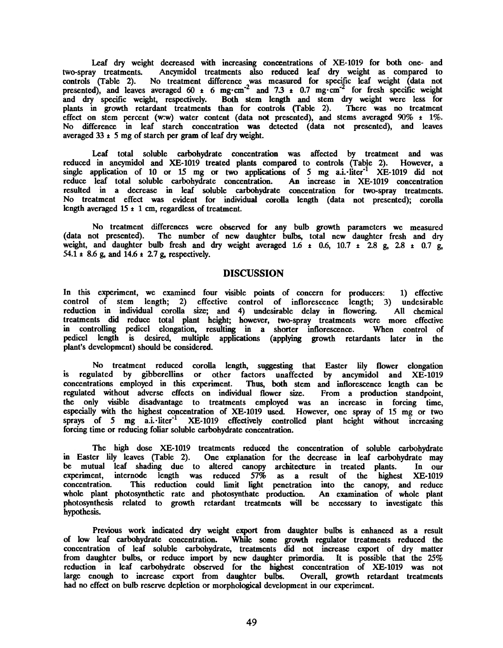Leaf dry weight decreased with increasing concentrations of XE-1019 for both one- and two-spray treatments. Ancymidol treatments also reduced leaf dry weight as compared to Ancymidol treatments also reduced leaf dry weight as compared to controls (Table 2). No treatment difference was measured for specific leaf weight (data not presented), and leaves averaged 60  $\pm$  6 mg·cm<sup>-2</sup> and 7.3  $\pm$  0.7 mg·cm<sup>-2</sup> for fresh specific weight and dry specific weight, respectively. Both stem length and stem dry weight were less for plants in growth retardant treatments than for controls (Table 2). There was no treatment effect on stem percent (w:w) water content (data not presented), and stems averaged  $90\%$   $\pm$  1%. No difference in leaf starch concentration was detected (data not presented), and leaves averaged  $33 \pm 5$  mg of starch per gram of leaf dry weight.

Leaf total soluble carbohydrate concentration was affected by treatment and was reduced in ancymidol and XE-1019 treated plants compared to controls (Table 2). However, a single application of 10 or 15 mg or two applications of 5 mg a.i.  $\text{liter}^{-1}$  XE-1019 did not reduce leaf total soluble carbohydrate concentration. An increase in XE -1019 concentration resulted in a decrease in leaf soluble carbohydrate concentration for two -spray treatments. No treatment effect was evident for individual corolla length (data not presented); corolla length averaged 15  $\pm$  1 cm, regardless of treatment.

No treatment differences were observed for any bulb growth parameters we measured (data not presented). The number of new daughter bulbs, total new daughter fresh and dry weight, and daughter bulb fresh and dry weight averaged 1.6  $\pm$  0.6, 10.7  $\pm$  2.8 g, 2.8  $\pm$  0.7 g, 54.1  $\pm$  8.6 g, and 14.6  $\pm$  2.7 g, respectively.

## DISCUSSION

In this experiment, we examined four visible points of concern for producers: 1) effective control of stem length; 2) effective control of inflorescence length; 3) undesirable reduction in individual corolla size; and 4) undesirable delay in flowering. All chemical treatments did reduce total plant height; however, two-spray treatments were more effective in controlling pedicel elongation, resulting in a shorter inflorescence. When control of pedicel length is desired, multiple applications (applying growth retardants later in the plant's development) should be considered.

No treatment reduced corolla length, suggesting that Easter lily flower elongation is regulated by gibberellins or other factors unaffected by ancymidol and XE -1019 concentrations employed in this experiment. Thus, both stem and inflorescence length can be regulated without adverse effects on individual flower size. From a production standpoint, the only visible disadvantage to treatments employed was an increase in forcing time, especially with the highest concentration of XE -1019 used. However, one spray of 15 mg or two sprays of 5 mg a.i.·liter<sup>-1</sup> XE-1019 effectively controlled plant height without increasing forcing time or reducing foliar soluble carbohydrate concentration.

The high dose XE-1019 treatments reduced the concentration of soluble carbohydrate in Easter lily leaves (Table 2). One explanation for the decrease in leaf carbohydrate may be mutual leaf shading due to altered canopy architecture in treated plants. In our experiment, internode length was reduced 57% as a result of the highest XE -1019 concentration. This reduction could limit light penetration into the canopy, and reduce whole plant photosynthetic rate and photosynthate production. An examination of whole plant photosynthesis related to growth retardant treatments will be necessary to investigate this hypothesis.

Previous work indicated dry weight export from daughter bulbs is enhanced as a result of low leaf carbohydrate concentration. While some growth regulator treatments reduced the concentration of leaf soluble carbohydrate, treatments did not increase export of dry matter from daughter bulbs, or reduce import by new daughter primordia. It is possible that the 25% reduction in leaf carbohydrate observed for the highest concentration of XE -1019 was not large enough to increase export from daughter bulbs. Overall, growth retardant treatments had no effect on bulb reserve depletion or morphological development in our experiment.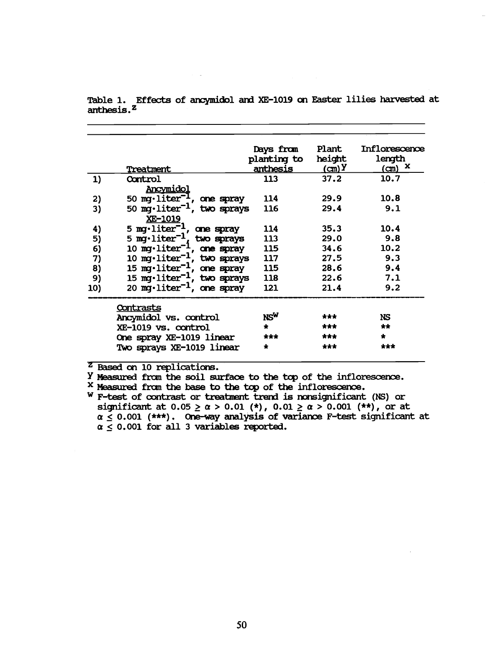|     | Treatment                                      | Days from<br>planting to<br>anthesis | Plant<br>height<br>$\mathbf{C}(\mathbf{C})$ | Inflorescence<br>length<br>$(m)$ $X$ |
|-----|------------------------------------------------|--------------------------------------|---------------------------------------------|--------------------------------------|
|     |                                                | 113                                  | 37.2                                        | 10.7                                 |
| 1)  | Control<br>Ancymidol                           |                                      |                                             |                                      |
| 2)  | 50 mg·liter <sup>-1</sup> , one spray          | 114                                  | 29.9                                        | 10.8                                 |
| 3)  | 50 mg·liter <sup>-1</sup> , two sprays         | 116                                  | 29.4                                        | 9.1                                  |
|     | XE-1019                                        |                                      |                                             |                                      |
| 4)  | 5 mg·liter <sup>-1</sup> , one spray           | 114                                  | 35.3                                        | 10.4                                 |
| 5)  | 5 mg $\cdot$ liter <sup>-1</sup><br>two sprays | 113                                  | 29.0                                        | 9.8                                  |
| 6)  | 10 mg·liter <sup>-1</sup> , one spray          | 115                                  | 34.6                                        | 10.2                                 |
| 7)  | 10 mg·liter <sup>-1</sup> , two sprays         | 117                                  | 27.5                                        | 9.3                                  |
| 8)  | 15 mg·liter <sup>-1</sup> , one spray          | 115                                  | 28.6                                        | 9.4                                  |
| 9)  | 15 mg·liter <sup>-1</sup> , two sprays         | 118                                  | 22.6                                        | 7.1                                  |
| 10) | 20 mg·liter <sup>-1</sup> , one spray          | 121                                  | 21.4                                        | 9.2                                  |
|     | <u>Contrasts</u>                               |                                      |                                             |                                      |
|     | Ancymidol vs. control                          | NSW                                  | ***                                         | NS                                   |
|     | XE-1019 vs. control                            | $\star$                              | ***                                         | $+ +$                                |
|     | One spray XE-1019 linear                       | ***                                  | ***                                         | $\star$                              |
|     | Two sprays XE-1019 linear                      | $\star$                              | ***                                         | ***                                  |
|     |                                                |                                      |                                             |                                      |

Table 1. Effects of ancymidol and XE -1019 on Easter lilies harvested at anthesis."

<sup>z</sup> Based on 10 replications.

y Measured from the soil surface to the tap of the inflorescence.

X Measured from the base to the tap of the inflorescence.

w F -test of contrast or treatment trend is nonsignificant (NS) or significant at 0.05  $\geq$   $\alpha$   $>$  0.01 (\*), 0.01  $\geq$   $\alpha$   $>$  0.001 (\*\*), or at  $\alpha \leq 0.001$  (\*\*\*). One-way analysis of variance F-test significant at  $\alpha \leq 0.001$  for all 3 variables reported.